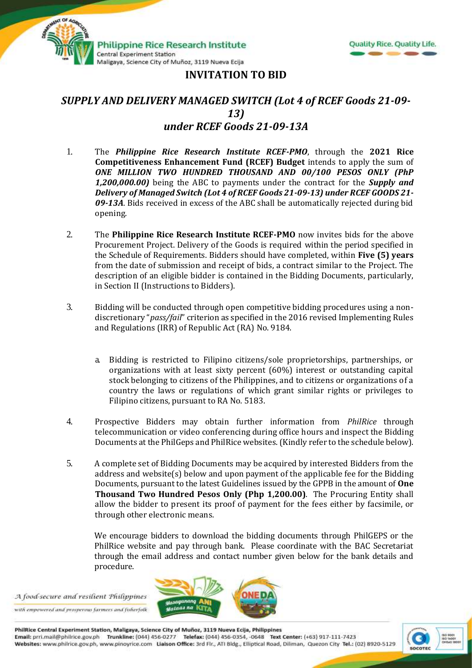



## **INVITATION TO BID**

## *SUPPLY AND DELIVERY MANAGED SWITCH (Lot 4 of RCEF Goods 21-09- 13) under RCEF Goods 21-09-13A*

- 1. The *Philippine Rice Research Institute RCEF-PMO*, through the **2021 Rice Competitiveness Enhancement Fund (RCEF) Budget** intends to apply the sum of *ONE MILLION TWO HUNDRED THOUSAND AND 00/100 PESOS ONLY (PhP 1,200,000.00)* being the ABC to payments under the contract for the *Supply and Delivery of Managed Switch (Lot 4 of RCEF Goods 21-09-13) under RCEF GOODS 21- 09-13A*. Bids received in excess of the ABC shall be automatically rejected during bid opening.
- 2. The **Philippine Rice Research Institute RCEF-PMO** now invites bids for the above Procurement Project. Delivery of the Goods is required within the period specified in the Schedule of Requirements. Bidders should have completed, within **Five (5) years** from the date of submission and receipt of bids, a contract similar to the Project. The description of an eligible bidder is contained in the Bidding Documents, particularly, in Section II (Instructions to Bidders).
- 3. Bidding will be conducted through open competitive bidding procedures using a nondiscretionary "*pass/fail*" criterion as specified in the 2016 revised Implementing Rules and Regulations (IRR) of Republic Act (RA) No. 9184.
	- a. Bidding is restricted to Filipino citizens/sole proprietorships, partnerships, or organizations with at least sixty percent (60%) interest or outstanding capital stock belonging to citizens of the Philippines, and to citizens or organizations of a country the laws or regulations of which grant similar rights or privileges to Filipino citizens, pursuant to RA No. 5183.
- 4. Prospective Bidders may obtain further information from *PhilRice* through telecommunication or video conferencing during office hours and inspect the Bidding Documents at the PhilGeps and PhilRice websites. (Kindly refer to the schedule below).
- 5. A complete set of Bidding Documents may be acquired by interested Bidders from the address and website(s) below and upon payment of the applicable fee for the Bidding Documents, pursuant to the latest Guidelines issued by the GPPB in the amount of **One Thousand Two Hundred Pesos Only (Php 1,200.00)**. The Procuring Entity shall allow the bidder to present its proof of payment for the fees either by facsimile, or through other electronic means.

We encourage bidders to download the bidding documents through PhilGEPS or the PhilRice website and pay through bank. Please coordinate with the BAC Secretariat through the email address and contact number given below for the bank details and procedure.

A food-secure and resilient Philippines with empowered and prosperous farmers and fisherfolk



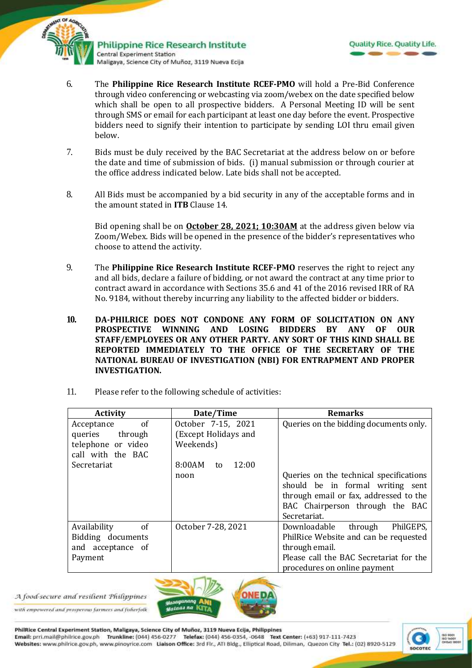



- 6. The **Philippine Rice Research Institute RCEF-PMO** will hold a Pre-Bid Conference through video conferencing or webcasting via zoom/webex on the date specified below which shall be open to all prospective bidders. A Personal Meeting ID will be sent through SMS or email for each participant at least one day before the event. Prospective bidders need to signify their intention to participate by sending LOI thru email given below.
- 7. Bids must be duly received by the BAC Secretariat at the address below on or before the date and time of submission of bids. (i) manual submission or through courier at the office address indicated below*.* Late bids shall not be accepted.
- 8. All Bids must be accompanied by a bid security in any of the acceptable forms and in the amount stated in **ITB** Clause 14.

Bid opening shall be on **October 28, 2021; 10:30AM** at the address given below via Zoom/Webex. Bids will be opened in the presence of the bidder's representatives who choose to attend the activity.

- 9. The **Philippine Rice Research Institute RCEF-PMO** reserves the right to reject any and all bids, declare a failure of bidding, or not award the contract at any time prior to contract award in accordance with Sections 35.6 and 41 of the 2016 revised IRR of RA No. 9184, without thereby incurring any liability to the affected bidder or bidders.
- **10. DA-PHILRICE DOES NOT CONDONE ANY FORM OF SOLICITATION ON ANY PROSPECTIVE WINNING AND LOSING BIDDERS BY ANY OF OUR STAFF/EMPLOYEES OR ANY OTHER PARTY. ANY SORT OF THIS KIND SHALL BE REPORTED IMMEDIATELY TO THE OFFICE OF THE SECRETARY OF THE NATIONAL BUREAU OF INVESTIGATION (NBI) FOR ENTRAPMENT AND PROPER INVESTIGATION.**
- 11. Please refer to the following schedule of activities:

| <b>Activity</b>                                                                                      | Date/Time                                                                        | <b>Remarks</b>                                                                                                                                                           |
|------------------------------------------------------------------------------------------------------|----------------------------------------------------------------------------------|--------------------------------------------------------------------------------------------------------------------------------------------------------------------------|
| of<br>Acceptance<br>queries through<br>telephone or video<br>call with the BAC<br><b>Secretariat</b> | October 7-15, 2021<br>(Except Holidays and<br>Weekends)<br>8:00AM<br>12:00<br>to | Queries on the bidding documents only.                                                                                                                                   |
|                                                                                                      | noon                                                                             | Queries on the technical specifications<br>should be in formal writing sent<br>through email or fax, addressed to the<br>BAC Chairperson through the BAC<br>Secretariat. |
| Availability<br>of<br>Bidding documents<br>and acceptance of<br>Payment                              | October 7-28, 2021                                                               | Downloadable through<br>PhilGEPS,<br>PhilRice Website and can be requested<br>through email.<br>Please call the BAC Secretariat for the<br>procedures on online payment  |



with empowered and prosperous farmers and fisherfolk



PhilRice Central Experiment Station, Maligaya, Science City of Muñoz, 3119 Nueva Ecija, Philippines Email: prri.mail@philrice.gov.ph Trunkline: (044) 456-0277 Telefax: (044) 456-0354, -0648 Text Center: (+63) 917-111-7423 Websites: www.philrice.gov.ph, www.pinoyrice.com Llaison Office: 3rd Flr., ATI Bldg., Elliptical Road, Diliman, Quezon City Tel.: (02) 8920-5129